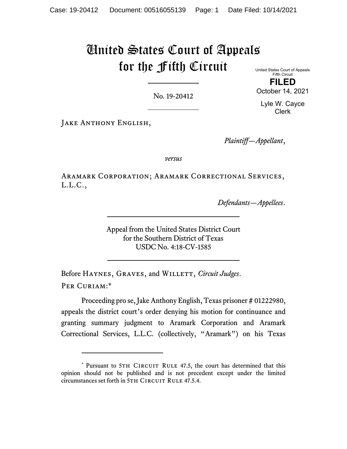# United States Court of Appeals for the Fifth Circuit

United States Court of Appeals Fifth Circuit **FILED** 

No. 19-20412

October 14, 2021 Lyle W. Cayce

Clerk

JAKE ANTHONY ENGLISH,

*Plaintiff—Appellant*,

*versus*

Aramark Corporation; Aramark Correctional Services, L.L.C.,

*Defendants—Appellees*.

Appeal from the United States District Court for the Southern District of Texas USDC No. 4:18-CV-1585

Before HAYNES, GRAVES, and WILLETT, *Circuit Judges*. Per Curiam:\*

Proceeding pro se, Jake Anthony English, Texas prisoner # 01222980, appeals the district court's order denying his motion for continuance and granting summary judgment to Aramark Corporation and Aramark Correctional Services, L.L.C. (collectively, "Aramark") on his Texas

<sup>\*</sup> Pursuant to 5TH CIRCUIT RULE 47.5, the court has determined that this opinion should not be published and is not precedent except under the limited circumstances set forth in 5TH CIRCUIT RULE 47.5.4.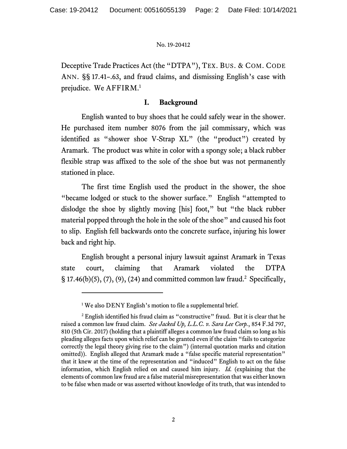Deceptive Trade Practices Act (the "DTPA"), TEX. BUS. & COM. CODE ANN. §§ 17.41–.63, and fraud claims, and dismissing English's case with prejudice. We AFFIRM.<sup>1</sup>

## **I. Background**

English wanted to buy shoes that he could safely wear in the shower. He purchased item number 8076 from the jail commissary, which was identified as "shower shoe V-Strap XL" (the "product") created by Aramark. The product was white in color with a spongy sole; a black rubber flexible strap was affixed to the sole of the shoe but was not permanently stationed in place.

The first time English used the product in the shower, the shoe "became lodged or stuck to the shower surface." English "attempted to dislodge the shoe by slightly moving [his] foot," but "the black rubber material popped through the hole in the sole of the shoe" and caused his foot to slip. English fell backwards onto the concrete surface, injuring his lower back and right hip.

English brought a personal injury lawsuit against Aramark in Texas state court, claiming that Aramark violated the DTPA  $\S 17.46(b)(5)$ , (7), (9), (24) and committed common law fraud.<sup>2</sup> Specifically,

<sup>&</sup>lt;sup>1</sup> We also DENY English's motion to file a supplemental brief.

 $2$  English identified his fraud claim as "constructive" fraud. But it is clear that he raised a common law fraud claim. *See Jacked Up, L.L.C. v. Sara Lee Corp.*, 854 F.3d 797, 810 (5th Cir. 2017) (holding that a plaintiff alleges a common law fraud claim so long as his pleading alleges facts upon which relief can be granted even if the claim "fails to categorize correctly the legal theory giving rise to the claim") (internal quotation marks and citation omitted)). English alleged that Aramark made a "false specific material representation" that it knew at the time of the representation and "induced" English to act on the false information, which English relied on and caused him injury. *Id.* (explaining that the elements of common law fraud are a false material misrepresentation that was either known to be false when made or was asserted without knowledge of its truth, that was intended to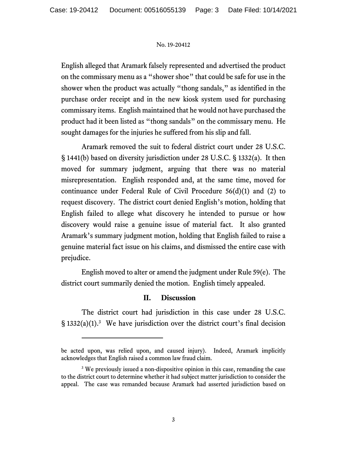English alleged that Aramark falsely represented and advertised the product on the commissary menu as a "shower shoe" that could be safe for use in the shower when the product was actually "thong sandals," as identified in the purchase order receipt and in the new kiosk system used for purchasing commissary items. English maintained that he would not have purchased the product had it been listed as "thong sandals" on the commissary menu. He sought damages for the injuries he suffered from his slip and fall.

Aramark removed the suit to federal district court under 28 U.S.C. § 1441(b) based on diversity jurisdiction under 28 U.S.C. § 1332(a). It then moved for summary judgment, arguing that there was no material misrepresentation. English responded and, at the same time, moved for continuance under Federal Rule of Civil Procedure 56(d)(1) and (2) to request discovery. The district court denied English's motion, holding that English failed to allege what discovery he intended to pursue or how discovery would raise a genuine issue of material fact. It also granted Aramark's summary judgment motion, holding that English failed to raise a genuine material fact issue on his claims, and dismissed the entire case with prejudice.

English moved to alter or amend the judgment under Rule 59(e). The district court summarily denied the motion. English timely appealed.

## **II. Discussion**

The district court had jurisdiction in this case under 28 U.S.C.  $\S$  1332(a)(1).<sup>3</sup> We have jurisdiction over the district court's final decision

be acted upon, was relied upon, and caused injury). Indeed, Aramark implicitly acknowledges that English raised a common law fraud claim.

<sup>&</sup>lt;sup>3</sup> We previously issued a non-dispositive opinion in this case, remanding the case to the district court to determine whether it had subject matter jurisdiction to consider the appeal. The case was remanded because Aramark had asserted jurisdiction based on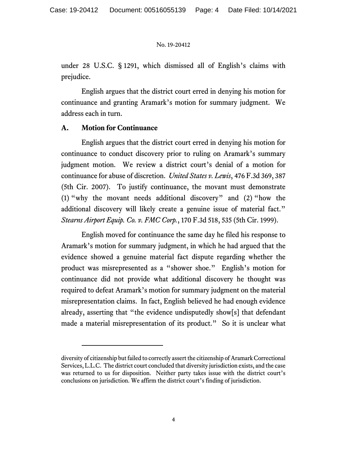under 28 U.S.C. § 1291, which dismissed all of English's claims with prejudice.

English argues that the district court erred in denying his motion for continuance and granting Aramark's motion for summary judgment. We address each in turn.

# **A. Motion for Continuance**

English argues that the district court erred in denying his motion for continuance to conduct discovery prior to ruling on Aramark's summary judgment motion. We review a district court's denial of a motion for continuance for abuse of discretion. *United States v. Lewis*, 476 F.3d 369, 387 (5th Cir. 2007). To justify continuance, the movant must demonstrate (1) "why the movant needs additional discovery" and (2) "how the additional discovery will likely create a genuine issue of material fact." *Stearns Airport Equip. Co. v. FMC Corp.*, 170 F.3d 518, 535 (5th Cir. 1999).

English moved for continuance the same day he filed his response to Aramark's motion for summary judgment, in which he had argued that the evidence showed a genuine material fact dispute regarding whether the product was misrepresented as a "shower shoe." English's motion for continuance did not provide what additional discovery he thought was required to defeat Aramark's motion for summary judgment on the material misrepresentation claims. In fact, English believed he had enough evidence already, asserting that "the evidence undisputedly show[s] that defendant made a material misrepresentation of its product." So it is unclear what

diversity of citizenship but failed to correctly assert the citizenship of Aramark Correctional Services, L.L.C. The district court concluded that diversity jurisdiction exists, and the case was returned to us for disposition. Neither party takes issue with the district court's conclusions on jurisdiction. We affirm the district court's finding of jurisdiction.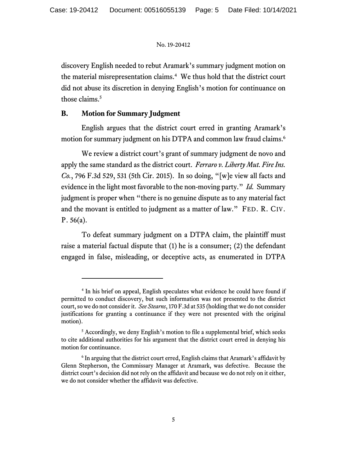discovery English needed to rebut Aramark's summary judgment motion on the material misrepresentation claims.<sup>4</sup> We thus hold that the district court did not abuse its discretion in denying English's motion for continuance on those claims.<sup>5</sup>

# **B. Motion for Summary Judgment**

English argues that the district court erred in granting Aramark's motion for summary judgment on his DTPA and common law fraud claims.<sup>6</sup>

We review a district court's grant of summary judgment de novo and apply the same standard as the district court. *Ferraro v. Liberty Mut. Fire Ins. Co.*, 796 F.3d 529, 531 (5th Cir. 2015). In so doing, "[w]e view all facts and evidence in the light most favorable to the non-moving party." *Id.* Summary judgment is proper when "there is no genuine dispute as to any material fact and the movant is entitled to judgment as a matter of law." FED. R. CIV. P. 56(a).

To defeat summary judgment on a DTPA claim, the plaintiff must raise a material factual dispute that (1) he is a consumer; (2) the defendant engaged in false, misleading, or deceptive acts, as enumerated in DTPA

<sup>&</sup>lt;sup>4</sup> In his brief on appeal, English speculates what evidence he could have found if permitted to conduct discovery, but such information was not presented to the district court, so we do not consider it. *See Stearns*, 170 F.3d at 535 (holding that we do not consider justifications for granting a continuance if they were not presented with the original motion).

 $<sup>5</sup>$  Accordingly, we deny English's motion to file a supplemental brief, which seeks</sup> to cite additional authorities for his argument that the district court erred in denying his motion for continuance.

 $6$  In arguing that the district court erred, English claims that Aramark's affidavit by Glenn Stepherson, the Commissary Manager at Aramark, was defective. Because the district court's decision did not rely on the affidavit and because we do not rely on it either, we do not consider whether the affidavit was defective.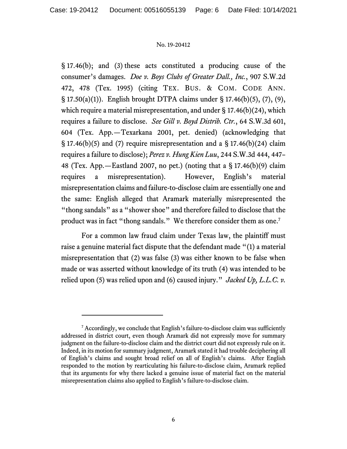§ 17.46(b); and (3) these acts constituted a producing cause of the consumer's damages. *Doe v. Boys Clubs of Greater Dall., Inc.*, 907 S.W.2d 472, 478 (Tex. 1995) (citing TEX. BUS. & COM. CODE ANN. § 17.50(a)(1)). English brought DTPA claims under § 17.46(b)(5), (7), (9), which require a material misrepresentation, and under  $\S$  17.46(b)(24), which requires a failure to disclose. *See Gill v. Boyd Distrib. Ctr.*, 64 S.W.3d 601, 604 (Tex. App.—Texarkana 2001, pet. denied) (acknowledging that  $\S$  17.46(b)(5) and (7) require misrepresentation and a  $\S$  17.46(b)(24) claim requires a failure to disclose); *Perez v. Hung Kien Luu*, 244 S.W.3d 444, 447– 48 (Tex. App.—Eastland 2007, no pet.) (noting that a § 17.46(b)(9) claim requires a misrepresentation). However, English's material misrepresentation claims and failure-to-disclose claim are essentially one and the same: English alleged that Aramark materially misrepresented the "thong sandals" as a "shower shoe" and therefore failed to disclose that the product was in fact "thong sandals." We therefore consider them as one.<sup>7</sup>

For a common law fraud claim under Texas law, the plaintiff must raise a genuine material fact dispute that the defendant made "(1) a material misrepresentation that (2) was false (3) was either known to be false when made or was asserted without knowledge of its truth (4) was intended to be relied upon (5) was relied upon and (6) caused injury." *Jacked Up, L.L.C. v.* 

<sup>&</sup>lt;sup>7</sup> Accordingly, we conclude that English's failure-to-disclose claim was sufficiently addressed in district court, even though Aramark did not expressly move for summary judgment on the failure-to-disclose claim and the district court did not expressly rule on it. Indeed, in its motion for summary judgment, Aramark stated it had trouble deciphering all of English's claims and sought broad relief on all of English's claims. After English responded to the motion by rearticulating his failure-to-disclose claim, Aramark replied that its arguments for why there lacked a genuine issue of material fact on the material misrepresentation claims also applied to English's failure-to-disclose claim.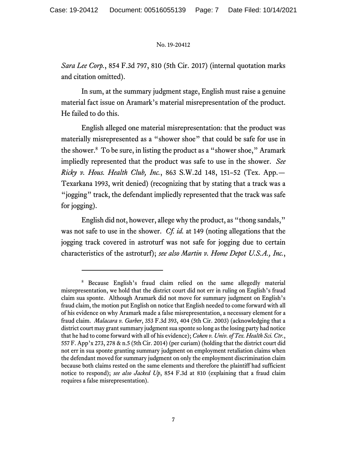*Sara Lee Corp.*, 854 F.3d 797, 810 (5th Cir. 2017) (internal quotation marks and citation omitted).

In sum, at the summary judgment stage, English must raise a genuine material fact issue on Aramark's material misrepresentation of the product. He failed to do this.

English alleged one material misrepresentation: that the product was materially misrepresented as a "shower shoe" that could be safe for use in the shower.8 To be sure, in listing the product as a "shower shoe," Aramark impliedly represented that the product was safe to use in the shower. *See Ricky v. Hous. Health Club, Inc.*, 863 S.W.2d 148, 151–52 (Tex. App.— Texarkana 1993, writ denied) (recognizing that by stating that a track was a "jogging" track, the defendant impliedly represented that the track was safe for jogging).

English did not, however, allege why the product, as "thong sandals," was not safe to use in the shower. *Cf. id.* at 149 (noting allegations that the jogging track covered in astroturf was not safe for jogging due to certain characteristics of the astroturf); *see also Martin v. Home Depot U.S.A., Inc.*,

<sup>8</sup> Because English's fraud claim relied on the same allegedly material misrepresentation, we hold that the district court did not err in ruling on English's fraud claim sua sponte. Although Aramark did not move for summary judgment on English's fraud claim, the motion put English on notice that English needed to come forward with all of his evidence on why Aramark made a false misrepresentation, a necessary element for a fraud claim. *Malacara v. Garber*, 353 F.3d 393, 404 (5th Cir. 2003) (acknowledging that a district court may grant summary judgment sua sponte so long as the losing party had notice that he had to come forward with all of his evidence); *Cohen v. Univ. of Tex. Health Sci. Ctr.*, 557 F. App'x 273, 278 & n.5 (5th Cir. 2014) (per curiam) (holding that the district court did not err in sua sponte granting summary judgment on employment retaliation claims when the defendant moved for summary judgment on only the employment discrimination claim because both claims rested on the same elements and therefore the plaintiff had sufficient notice to respond); *see also Jacked Up*, 854 F.3d at 810 (explaining that a fraud claim requires a false misrepresentation).